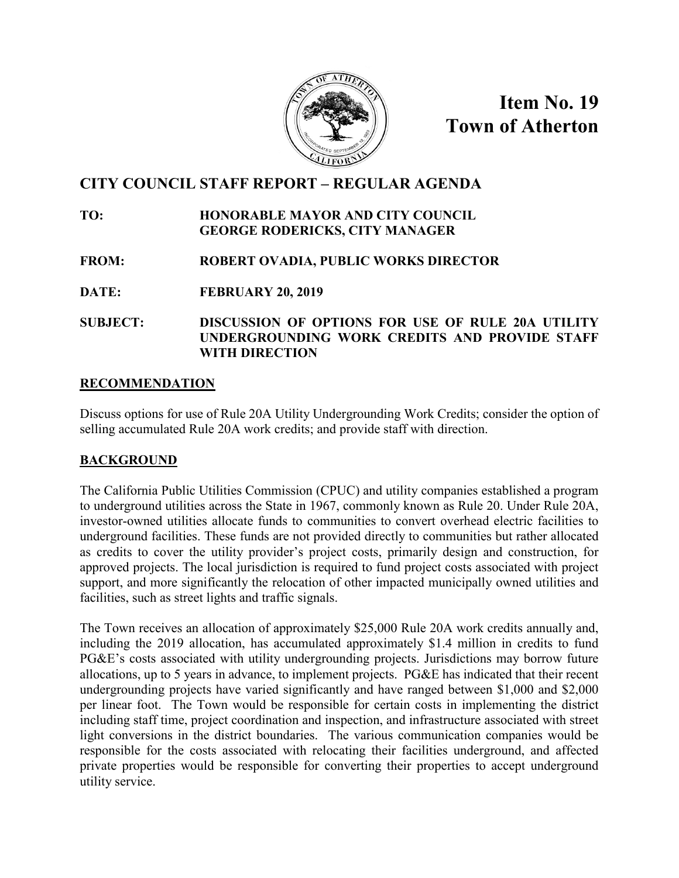

**Item No. 19 Town of Atherton**

# **CITY COUNCIL STAFF REPORT – REGULAR AGENDA**

### **TO: HONORABLE MAYOR AND CITY COUNCIL GEORGE RODERICKS, CITY MANAGER**

- **FROM: ROBERT OVADIA, PUBLIC WORKS DIRECTOR**
- **DATE: FEBRUARY 20, 2019**
- **SUBJECT: DISCUSSION OF OPTIONS FOR USE OF RULE 20A UTILITY UNDERGROUNDING WORK CREDITS AND PROVIDE STAFF WITH DIRECTION**

### **RECOMMENDATION**

Discuss options for use of Rule 20A Utility Undergrounding Work Credits; consider the option of selling accumulated Rule 20A work credits; and provide staff with direction.

### **BACKGROUND**

The California Public Utilities Commission (CPUC) and utility companies established a program to underground utilities across the State in 1967, commonly known as Rule 20. Under Rule 20A, investor-owned utilities allocate funds to communities to convert overhead electric facilities to underground facilities. These funds are not provided directly to communities but rather allocated as credits to cover the utility provider's project costs, primarily design and construction, for approved projects. The local jurisdiction is required to fund project costs associated with project support, and more significantly the relocation of other impacted municipally owned utilities and facilities, such as street lights and traffic signals.

The Town receives an allocation of approximately \$25,000 Rule 20A work credits annually and, including the 2019 allocation, has accumulated approximately \$1.4 million in credits to fund PG&E's costs associated with utility undergrounding projects. Jurisdictions may borrow future allocations, up to 5 years in advance, to implement projects. PG&E has indicated that their recent undergrounding projects have varied significantly and have ranged between \$1,000 and \$2,000 per linear foot. The Town would be responsible for certain costs in implementing the district including staff time, project coordination and inspection, and infrastructure associated with street light conversions in the district boundaries. The various communication companies would be responsible for the costs associated with relocating their facilities underground, and affected private properties would be responsible for converting their properties to accept underground utility service.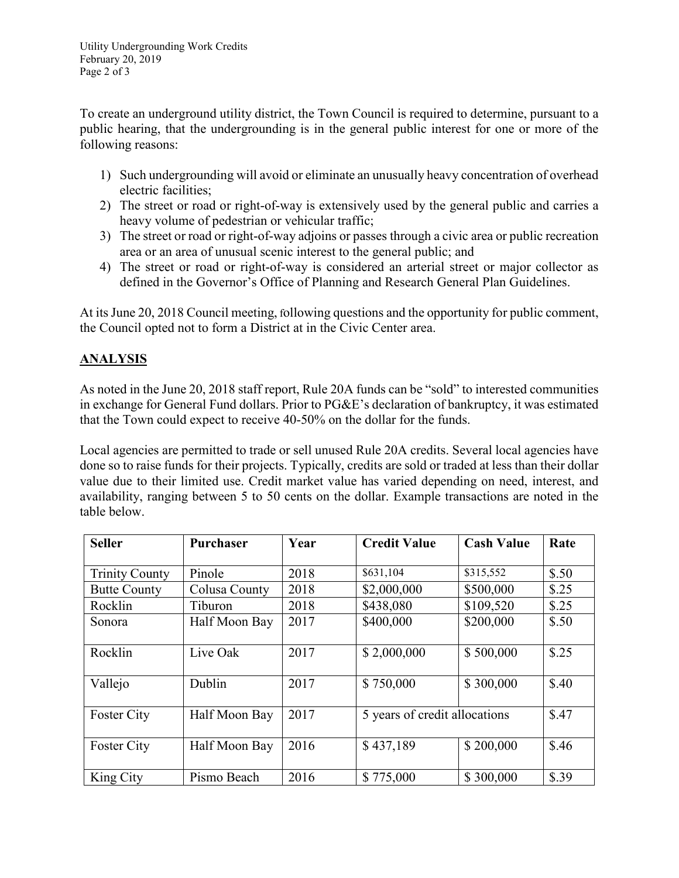To create an underground utility district, the Town Council is required to determine, pursuant to a public hearing, that the undergrounding is in the general public interest for one or more of the following reasons:

- 1) Such undergrounding will avoid or eliminate an unusually heavy concentration of overhead electric facilities;
- 2) The street or road or right-of-way is extensively used by the general public and carries a heavy volume of pedestrian or vehicular traffic;
- 3) The street or road or right-of-way adjoins or passes through a civic area or public recreation area or an area of unusual scenic interest to the general public; and
- 4) The street or road or right-of-way is considered an arterial street or major collector as defined in the Governor's Office of Planning and Research General Plan Guidelines.

At its June 20, 2018 Council meeting, following questions and the opportunity for public comment, the Council opted not to form a District at in the Civic Center area.

# **ANALYSIS**

As noted in the June 20, 2018 staff report, Rule 20A funds can be "sold" to interested communities in exchange for General Fund dollars. Prior to PG&E's declaration of bankruptcy, it was estimated that the Town could expect to receive 40-50% on the dollar for the funds.

Local agencies are permitted to trade or sell unused Rule 20A credits. Several local agencies have done so to raise funds for their projects. Typically, credits are sold or traded at less than their dollar value due to their limited use. Credit market value has varied depending on need, interest, and availability, ranging between 5 to 50 cents on the dollar. Example transactions are noted in the table below.

| <b>Seller</b>         | <b>Purchaser</b> | Year | <b>Credit Value</b>           | <b>Cash Value</b> | Rate  |
|-----------------------|------------------|------|-------------------------------|-------------------|-------|
|                       |                  |      |                               |                   |       |
| <b>Trinity County</b> | Pinole           | 2018 | \$631,104                     | \$315,552         | \$.50 |
| <b>Butte County</b>   | Colusa County    | 2018 | \$2,000,000                   | \$500,000         | \$.25 |
| Rocklin               | Tiburon          | 2018 | \$438,080                     | \$109,520         | \$.25 |
| Sonora                | Half Moon Bay    | 2017 | \$400,000                     | \$200,000         | \$.50 |
|                       |                  |      |                               |                   |       |
| Rocklin               | Live Oak         | 2017 | \$2,000,000                   | \$500,000         | \$.25 |
|                       |                  |      |                               |                   |       |
| Vallejo               | Dublin           | 2017 | \$750,000                     | \$300,000         | \$.40 |
|                       |                  |      |                               |                   |       |
| <b>Foster City</b>    | Half Moon Bay    | 2017 | 5 years of credit allocations |                   | \$.47 |
|                       |                  |      |                               |                   |       |
| <b>Foster City</b>    | Half Moon Bay    | 2016 | \$437,189                     | \$200,000         | \$.46 |
|                       |                  |      |                               |                   |       |
| King City             | Pismo Beach      | 2016 | \$775,000                     | \$300,000         | \$.39 |